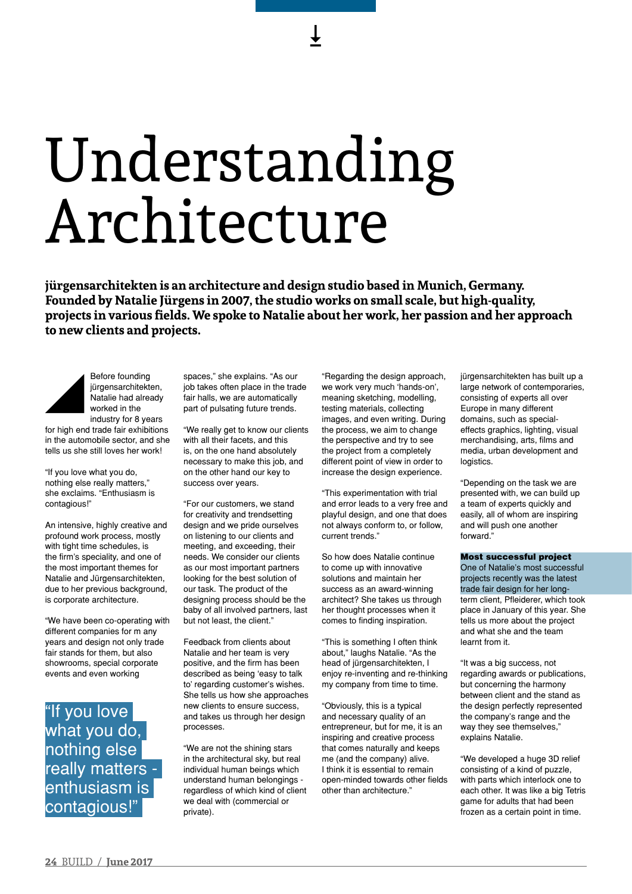## Understanding Architecture

**jürgensarchitekten is an architecture and design studio based in Munich, Germany. Founded by Natalie Jürgens in 2007, the studio works on small scale, but high-quality, projects in various fields. We spoke to Natalie about her work, her passion and her approach to new clients and projects.**



Before founding jürgensarchitekten, Natalie had already worked in the industry for 8 years

for high end trade fair exhibitions in the automobile sector, and she tells us she still loves her work!

"If you love what you do, nothing else really matters," she exclaims. "Enthusiasm is contagious!"

An intensive, highly creative and profound work process, mostly with tight time schedules, is the firm's speciality, and one of the most important themes for Natalie and Jürgensarchitekten, due to her previous background, is corporate architecture.

"We have been co-operating with different companies for m any years and design not only trade fair stands for them, but also showrooms, special corporate events and even working

"If you love what you do, nothing else really matters enthusiasm is contagious!"

spaces," she explains. "As our job takes often place in the trade fair halls, we are automatically part of pulsating future trends.

"We really get to know our clients with all their facets, and this is, on the one hand absolutely necessary to make this job, and on the other hand our key to success over years.

"For our customers, we stand for creativity and trendsetting design and we pride ourselves on listening to our clients and meeting, and exceeding, their needs. We consider our clients as our most important partners looking for the best solution of our task. The product of the designing process should be the baby of all involved partners, last but not least, the client."

Feedback from clients about Natalie and her team is very positive, and the firm has been described as being 'easy to talk to' regarding customer's wishes. She tells us how she approaches new clients to ensure success, and takes us through her design processes.

"We are not the shining stars in the architectural sky, but real individual human beings which understand human belongings regardless of which kind of client we deal with (commercial or private).

"Regarding the design approach, we work very much 'hands-on', meaning sketching, modelling, testing materials, collecting images, and even writing. During the process, we aim to change the perspective and try to see the project from a completely different point of view in order to increase the design experience.

"This experimentation with trial and error leads to a very free and playful design, and one that does not always conform to, or follow, current trends."

So how does Natalie continue to come up with innovative solutions and maintain her success as an award-winning architect? She takes us through her thought processes when it comes to finding inspiration.

"This is something I often think about," laughs Natalie. "As the head of jürgensarchitekten, I enjoy re-inventing and re-thinking my company from time to time.

"Obviously, this is a typical and necessary quality of an entrepreneur, but for me, it is an inspiring and creative process that comes naturally and keeps me (and the company) alive. I think it is essential to remain open-minded towards other fields other than architecture."

jürgensarchitekten has built up a large network of contemporaries, consisting of experts all over Europe in many different domains, such as specialeffects graphics, lighting, visual merchandising, arts, films and media, urban development and logistics.

"Depending on the task we are presented with, we can build up a team of experts quickly and easily, all of whom are inspiring and will push one another forward."

Most successful project One of Natalie's most successful projects recently was the latest trade fair design for her longterm client, Pfleiderer, which took place in January of this year. She tells us more about the project and what she and the team learnt from it.

"It was a big success, not regarding awards or publications, but concerning the harmony between client and the stand as the design perfectly represented the company's range and the way they see themselves," explains Natalie.

"We developed a huge 3D relief consisting of a kind of puzzle, with parts which interlock one to each other. It was like a big Tetris game for adults that had been frozen as a certain point in time.

 $\overline{+}$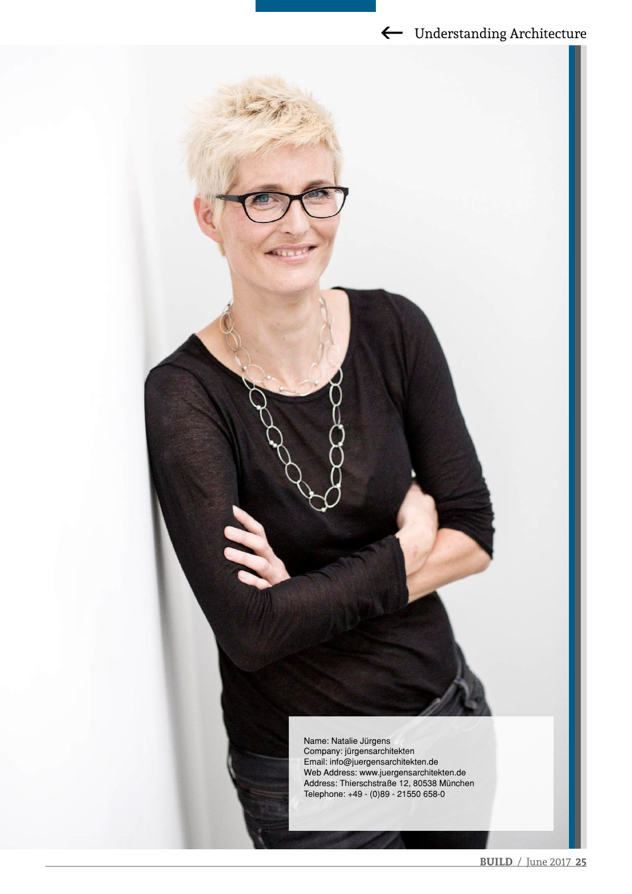## Gunderstanding Architecture

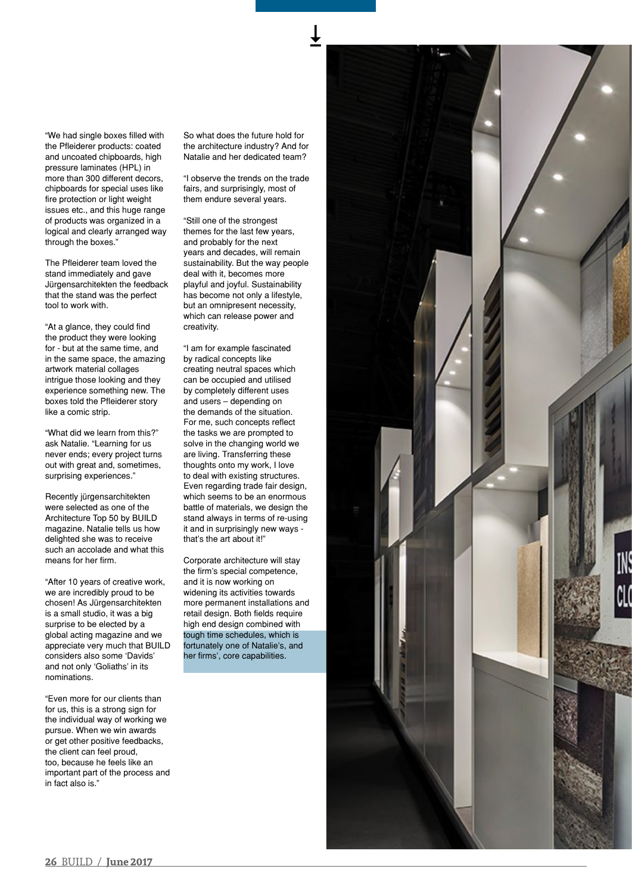"We had single boxes filled with the Pfleiderer products: coated and uncoated chipboards, high pressure laminates (HPL) in more than 300 different decors, chipboards for special uses like fire protection or light weight issues etc., and this huge range of products was organized in a logical and clearly arranged way through the boxes."

The Pfleiderer team loved the stand immediately and gave Jürgensarchitekten the feedback that the stand was the perfect tool to work with.

"At a glance, they could find the product they were looking for - but at the same time, and in the same space, the amazing artwork material collages intrigue those looking and they experience something new. The boxes told the Pfleiderer story like a comic strip.

"What did we learn from this?" ask Natalie. "Learning for us never ends; every project turns out with great and, sometimes, surprising experiences."

Recently jürgensarchitekten were selected as one of the Architecture Top 50 by BUILD magazine. Natalie tells us how delighted she was to receive such an accolade and what this means for her firm.

"After 10 years of creative work, we are incredibly proud to be chosen! As Jürgensarchitekten is a small studio, it was a big surprise to be elected by a global acting magazine and we appreciate very much that BUILD considers also some 'Davids' and not only 'Goliaths' in its nominations.

"Even more for our clients than for us, this is a strong sign for the individual way of working we pursue. When we win awards or get other positive feedbacks, the client can feel proud, too, because he feels like an important part of the process and in fact also is."

So what does the future hold for the architecture industry? And for Natalie and her dedicated team?

"I observe the trends on the trade fairs, and surprisingly, most of them endure several years.

"Still one of the strongest themes for the last few years, and probably for the next years and decades, will remain sustainability. But the way people deal with it, becomes more playful and joyful. Sustainability has become not only a lifestyle, but an omnipresent necessity, which can release power and creativity.

"I am for example fascinated by radical concepts like creating neutral spaces which can be occupied and utilised by completely different uses and users – depending on the demands of the situation. For me, such concepts reflect the tasks we are prompted to solve in the changing world we are living. Transferring these thoughts onto my work, I love to deal with existing structures. Even regarding trade fair design, which seems to be an enormous battle of materials, we design the stand always in terms of re-using it and in surprisingly new ways that's the art about it!"

Corporate architecture will stay the firm's special competence, and it is now working on widening its activities towards more permanent installations and retail design. Both fields require high end design combined with tough time schedules, which is fortunately one of Natalie's, and her firms', core capabilities.